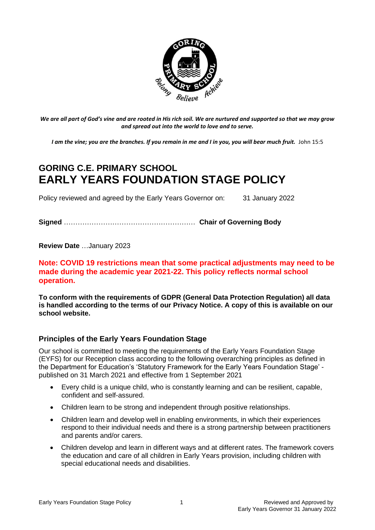

*We are all part of God's vine and are rooted in His rich soil. We are nurtured and supported so that we may grow and spread out into the world to love and to serve.*

*I am the vine; you are the branches. If you remain in me and I in you, you will bear much fruit.* John 15:5

# **GORING C.E. PRIMARY SCHOOL EARLY YEARS FOUNDATION STAGE POLICY**

Policy reviewed and agreed by the Early Years Governor on: 31 January 2022

**Signed** ………………………………………………… **Chair of Governing Body**

**Review Date** …January 2023

# **Note: COVID 19 restrictions mean that some practical adjustments may need to be made during the academic year 2021-22. This policy reflects normal school operation.**

**To conform with the requirements of GDPR (General Data Protection Regulation) all data is handled according to the terms of our Privacy Notice. A copy of this is available on our school website.** 

# **Principles of the Early Years Foundation Stage**

Our school is committed to meeting the requirements of the Early Years Foundation Stage (EYFS) for our Reception class according to the following overarching principles as defined in the Department for Education's 'Statutory Framework for the Early Years Foundation Stage' published on 31 March 2021 and effective from 1 September 2021

- Every child is a unique child, who is constantly learning and can be resilient, capable, confident and self-assured.
- Children learn to be strong and independent through positive relationships.
- Children learn and develop well in enabling environments, in which their experiences respond to their individual needs and there is a strong partnership between practitioners and parents and/or carers.
- Children develop and learn in different ways and at different rates. The framework covers the education and care of all children in Early Years provision, including children with special educational needs and disabilities.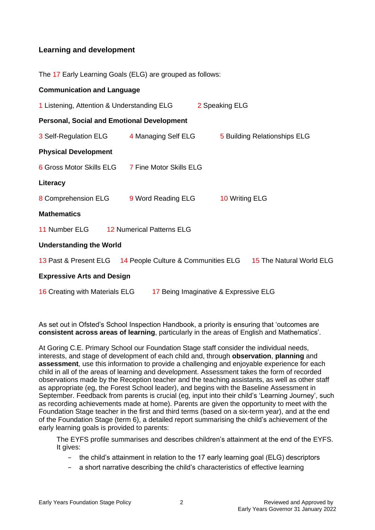# **Learning and development**

The 17 Early Learning Goals (ELG) are grouped as follows:

| <b>Communication and Language</b>                                                  |  |                |                              |
|------------------------------------------------------------------------------------|--|----------------|------------------------------|
| 1 Listening, Attention & Understanding ELG                                         |  | 2 Speaking ELG |                              |
| <b>Personal, Social and Emotional Development</b>                                  |  |                |                              |
| 3 Self-Regulation ELG 4 Managing Self ELG                                          |  |                | 5 Building Relationships ELG |
| <b>Physical Development</b>                                                        |  |                |                              |
| 6 Gross Motor Skills ELG 7 Fine Motor Skills ELG                                   |  |                |                              |
| Literacy                                                                           |  |                |                              |
| 8 Comprehension ELG 9 Word Reading ELG                                             |  | 10 Writing ELG |                              |
| <b>Mathematics</b>                                                                 |  |                |                              |
| 11 Number ELG<br><b>12 Numerical Patterns ELG</b>                                  |  |                |                              |
| <b>Understanding the World</b>                                                     |  |                |                              |
| 13 Past & Present ELG 14 People Culture & Communities ELG 15 The Natural World ELG |  |                |                              |
| <b>Expressive Arts and Design</b>                                                  |  |                |                              |
| 16 Creating with Materials ELG<br>17 Being Imaginative & Expressive ELG            |  |                |                              |

As set out in Ofsted's School Inspection Handbook, a priority is ensuring that 'outcomes are **consistent across areas of learning**, particularly in the areas of English and Mathematics'.

At Goring C.E. Primary School our Foundation Stage staff consider the individual needs, interests, and stage of development of each child and, through **observation**, **planning** and **assessment**, use this information to provide a challenging and enjoyable experience for each child in all of the areas of learning and development. Assessment takes the form of recorded observations made by the Reception teacher and the teaching assistants, as well as other staff as appropriate (eg, the Forest School leader), and begins with the Baseline Assessment in September. Feedback from parents is crucial (eg, input into their child's 'Learning Journey', such as recording achievements made at home). Parents are given the opportunity to meet with the Foundation Stage teacher in the first and third terms (based on a six-term year), and at the end of the Foundation Stage (term 6), a detailed report summarising the child's achievement of the early learning goals is provided to parents:

The EYFS profile summarises and describes children's attainment at the end of the EYFS. It gives:

- − the child's attainment in relation to the 17 early learning goal (ELG) descriptors
- − a short narrative describing the child's characteristics of effective learning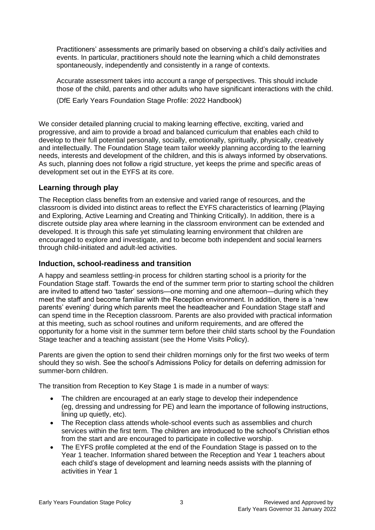Practitioners' assessments are primarily based on observing a child's daily activities and events. In particular, practitioners should note the learning which a child demonstrates spontaneously, independently and consistently in a range of contexts.

Accurate assessment takes into account a range of perspectives. This should include those of the child, parents and other adults who have significant interactions with the child.

(DfE Early Years Foundation Stage Profile: 2022 Handbook)

We consider detailed planning crucial to making learning effective, exciting, varied and progressive, and aim to provide a broad and balanced curriculum that enables each child to develop to their full potential personally, socially, emotionally, spiritually, physically, creatively and intellectually. The Foundation Stage team tailor weekly planning according to the learning needs, interests and development of the children, and this is always informed by observations. As such, planning does not follow a rigid structure, yet keeps the prime and specific areas of development set out in the EYFS at its core.

# **Learning through play**

The Reception class benefits from an extensive and varied range of resources, and the classroom is divided into distinct areas to reflect the EYFS characteristics of learning (Playing and Exploring, Active Learning and Creating and Thinking Critically). In addition, there is a discrete outside play area where learning in the classroom environment can be extended and developed. It is through this safe yet stimulating learning environment that children are encouraged to explore and investigate, and to become both independent and social learners through child-initiated and adult-led activities.

# **Induction, school-readiness and transition**

A happy and seamless settling-in process for children starting school is a priority for the Foundation Stage staff. Towards the end of the summer term prior to starting school the children are invited to attend two 'taster' sessions—one morning and one afternoon—during which they meet the staff and become familiar with the Reception environment. In addition, there is a 'new parents' evening' during which parents meet the headteacher and Foundation Stage staff and can spend time in the Reception classroom. Parents are also provided with practical information at this meeting, such as school routines and uniform requirements, and are offered the opportunity for a home visit in the summer term before their child starts school by the Foundation Stage teacher and a teaching assistant (see the Home Visits Policy).

Parents are given the option to send their children mornings only for the first two weeks of term should they so wish. See the school's Admissions Policy for details on deferring admission for summer-born children.

The transition from Reception to Key Stage 1 is made in a number of ways:

- The children are encouraged at an early stage to develop their independence (eg, dressing and undressing for PE) and learn the importance of following instructions, lining up quietly, etc).
- The Reception class attends whole-school events such as assemblies and church services within the first term. The children are introduced to the school's Christian ethos from the start and are encouraged to participate in collective worship.
- The EYFS profile completed at the end of the Foundation Stage is passed on to the Year 1 teacher. Information shared between the Reception and Year 1 teachers about each child's stage of development and learning needs assists with the planning of activities in Year 1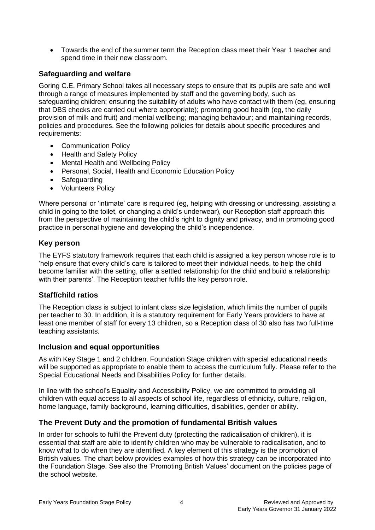• Towards the end of the summer term the Reception class meet their Year 1 teacher and spend time in their new classroom.

# **Safeguarding and welfare**

Goring C.E. Primary School takes all necessary steps to ensure that its pupils are safe and well through a range of measures implemented by staff and the governing body, such as safeguarding children; ensuring the suitability of adults who have contact with them (eg, ensuring that DBS checks are carried out where appropriate); promoting good health (eg, the daily provision of milk and fruit) and mental wellbeing; managing behaviour; and maintaining records, policies and procedures. See the following policies for details about specific procedures and requirements:

- Communication Policy
- Health and Safety Policy
- Mental Health and Wellbeing Policy
- Personal, Social, Health and Economic Education Policy
- Safeguarding
- Volunteers Policy

Where personal or 'intimate' care is required (eg, helping with dressing or undressing, assisting a child in going to the toilet, or changing a child's underwear), our Reception staff approach this from the perspective of maintaining the child's right to dignity and privacy, and in promoting good practice in personal hygiene and developing the child's independence.

#### **Key person**

The EYFS statutory framework requires that each child is assigned a key person whose role is to 'help ensure that every child's care is tailored to meet their individual needs, to help the child become familiar with the setting, offer a settled relationship for the child and build a relationship with their parents'. The Reception teacher fulfils the key person role.

# **Staff/child ratios**

The Reception class is subject to infant class size legislation, which limits the number of pupils per teacher to 30. In addition, it is a statutory requirement for Early Years providers to have at least one member of staff for every 13 children, so a Reception class of 30 also has two full-time teaching assistants.

#### **Inclusion and equal opportunities**

As with Key Stage 1 and 2 children, Foundation Stage children with special educational needs will be supported as appropriate to enable them to access the curriculum fully. Please refer to the Special Educational Needs and Disabilities Policy for further details.

In line with the school's Equality and Accessibility Policy, we are committed to providing all children with equal access to all aspects of school life, regardless of ethnicity, culture, religion, home language, family background, learning difficulties, disabilities, gender or ability.

# **The Prevent Duty and the promotion of fundamental British values**

In order for schools to fulfil the Prevent duty (protecting the radicalisation of children), it is essential that staff are able to identify children who may be vulnerable to radicalisation, and to know what to do when they are identified. A key element of this strategy is the promotion of British values. The chart below provides examples of how this strategy can be incorporated into the Foundation Stage. See also the 'Promoting British Values' document on the policies page of the school website.